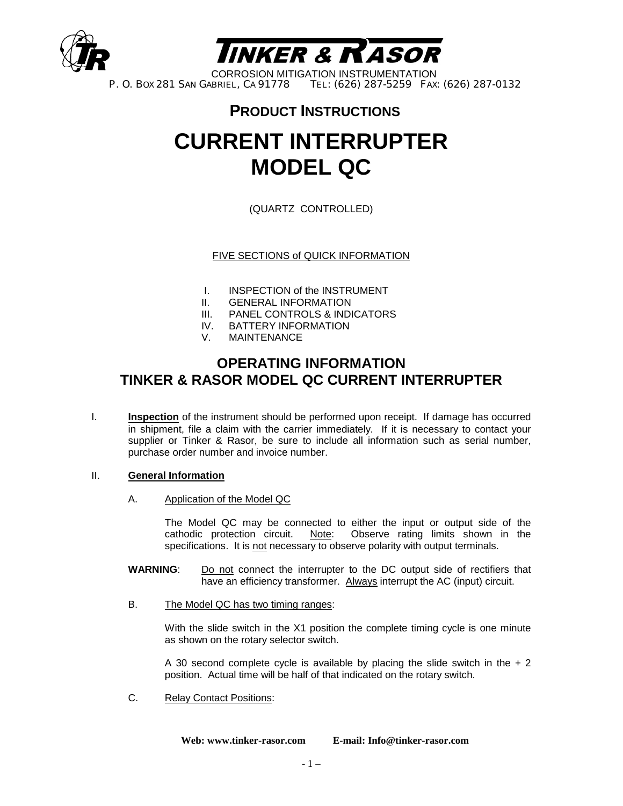



CORROSION MITIGATION INSTRUMENTATION<br>P. O. Box 281 SAN GABRIEL, CA 91778 TEL: (626) 287-5259 FAX: TEL: (626) 287-5259 FAX: (626) 287-0132

### **PRODUCT INSTRUCTIONS**

## **CURRENT INTERRUPTER MODEL QC**

(QUARTZ CONTROLLED)

FIVE SECTIONS of QUICK INFORMATION

- I. INSPECTION of the INSTRUMENT
- II. GENERAL INFORMATION
- III. PANEL CONTROLS & INDICATORS
- IV. BATTERY INFORMATION
- V. MAINTENANCE

#### **OPERATING INFORMATION TINKER & RASOR MODEL QC CURRENT INTERRUPTER**

I. **Inspection** of the instrument should be performed upon receipt. If damage has occurred in shipment, file a claim with the carrier immediately. If it is necessary to contact your supplier or Tinker & Rasor, be sure to include all information such as serial number, purchase order number and invoice number.

#### II. **General Information**

A. Application of the Model QC

 The Model QC may be connected to either the input or output side of the cathodic protection circuit. Note: Observe rating limits shown in the specifications. It is not necessary to observe polarity with output terminals.

- **WARNING**: Do not connect the interrupter to the DC output side of rectifiers that have an efficiency transformer. Always interrupt the AC (input) circuit.
- B. The Model QC has two timing ranges:

With the slide switch in the X1 position the complete timing cycle is one minute as shown on the rotary selector switch.

A 30 second complete cycle is available by placing the slide switch in the  $+2$ position. Actual time will be half of that indicated on the rotary switch.

C. Relay Contact Positions:

**Web: www.tinker-rasor.com E-mail: Info@tinker-rasor.com**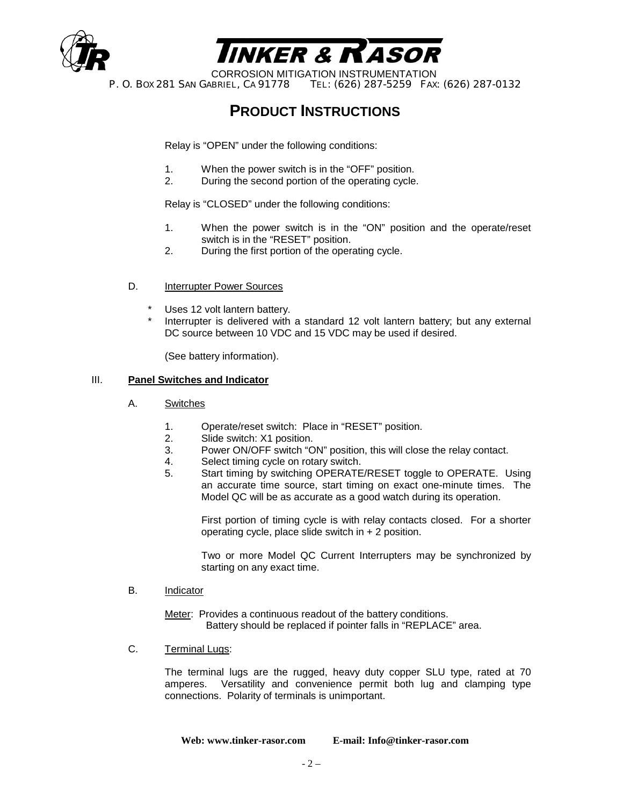



CORROSION MITIGATION INSTRUMENTATION<br>P. O. Box 281 SAN GABRIEL, CA 91778 TEL: (626) 287-5259 FAX: TEL: (626) 287-5259 FAX: (626) 287-0132

## **PRODUCT INSTRUCTIONS**

Relay is "OPEN" under the following conditions:

- 1. When the power switch is in the "OFF" position.
- 2. During the second portion of the operating cycle.

Relay is "CLOSED" under the following conditions:

- 1. When the power switch is in the "ON" position and the operate/reset switch is in the "RESET" position.
- 2. During the first portion of the operating cycle.
- D. Interrupter Power Sources
	- Uses 12 volt lantern battery.
	- Interrupter is delivered with a standard 12 volt lantern battery; but any external DC source between 10 VDC and 15 VDC may be used if desired.

(See battery information).

#### III. **Panel Switches and Indicator**

- A. Switches
	- 1. Operate/reset switch: Place in "RESET" position.
	- 2. Slide switch: X1 position.
	- 3. Power ON/OFF switch "ON" position, this will close the relay contact.
	- 4. Select timing cycle on rotary switch.
	- 5. Start timing by switching OPERATE/RESET toggle to OPERATE. Using an accurate time source, start timing on exact one-minute times. The Model QC will be as accurate as a good watch during its operation.

 First portion of timing cycle is with relay contacts closed. For a shorter operating cycle, place slide switch in + 2 position.

 Two or more Model QC Current Interrupters may be synchronized by starting on any exact time.

B. Indicator

Meter: Provides a continuous readout of the battery conditions. Battery should be replaced if pointer falls in "REPLACE" area.

C. Terminal Lugs:

 The terminal lugs are the rugged, heavy duty copper SLU type, rated at 70 amperes. Versatility and convenience permit both lug and clamping type connections. Polarity of terminals is unimportant.

**Web: www.tinker-rasor.com E-mail: Info@tinker-rasor.com**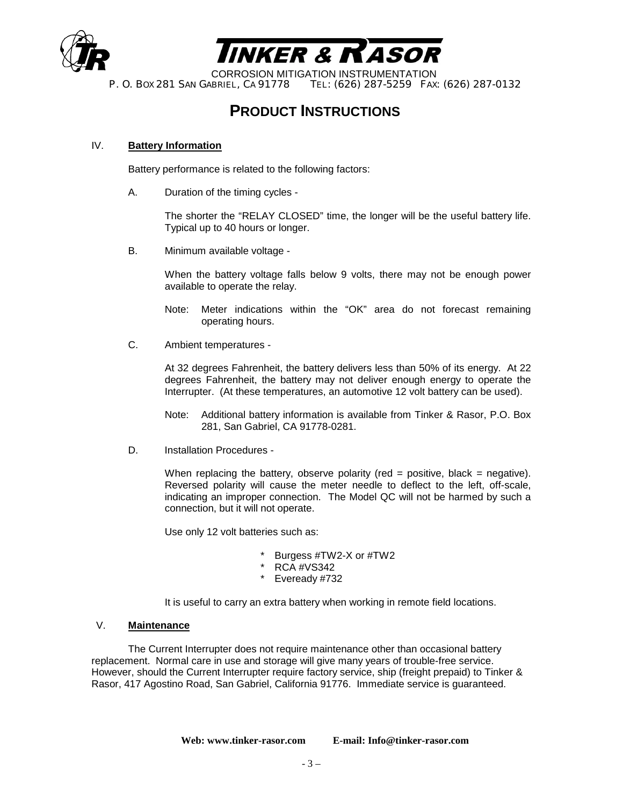



CORROSION MITIGATION INSTRUMENTATION<br>P. O. Box 281 SAN GABRIEL, CA 91778 TEL: (626) 287-5259 FAX: TEL: (626) 287-5259 FAX: (626) 287-0132

## **PRODUCT INSTRUCTIONS**

#### IV. **Battery Information**

Battery performance is related to the following factors:

A. Duration of the timing cycles -

 The shorter the "RELAY CLOSED" time, the longer will be the useful battery life. Typical up to 40 hours or longer.

B. Minimum available voltage -

 When the battery voltage falls below 9 volts, there may not be enough power available to operate the relay.

- Note: Meter indications within the "OK" area do not forecast remaining operating hours.
- C. Ambient temperatures -

 At 32 degrees Fahrenheit, the battery delivers less than 50% of its energy. At 22 degrees Fahrenheit, the battery may not deliver enough energy to operate the Interrupter. (At these temperatures, an automotive 12 volt battery can be used).

- Note: Additional battery information is available from Tinker & Rasor, P.O. Box 281, San Gabriel, CA 91778-0281.
- D. Installation Procedures -

When replacing the battery, observe polarity (red = positive, black = negative). Reversed polarity will cause the meter needle to deflect to the left, off-scale, indicating an improper connection. The Model QC will not be harmed by such a connection, but it will not operate.

Use only 12 volt batteries such as:

- Burgess #TW2-X or #TW2
- RCA #VS342
- Eveready #732

It is useful to carry an extra battery when working in remote field locations.

#### V. **Maintenance**

 The Current Interrupter does not require maintenance other than occasional battery replacement. Normal care in use and storage will give many years of trouble-free service. However, should the Current Interrupter require factory service, ship (freight prepaid) to Tinker & Rasor, 417 Agostino Road, San Gabriel, California 91776. Immediate service is guaranteed.